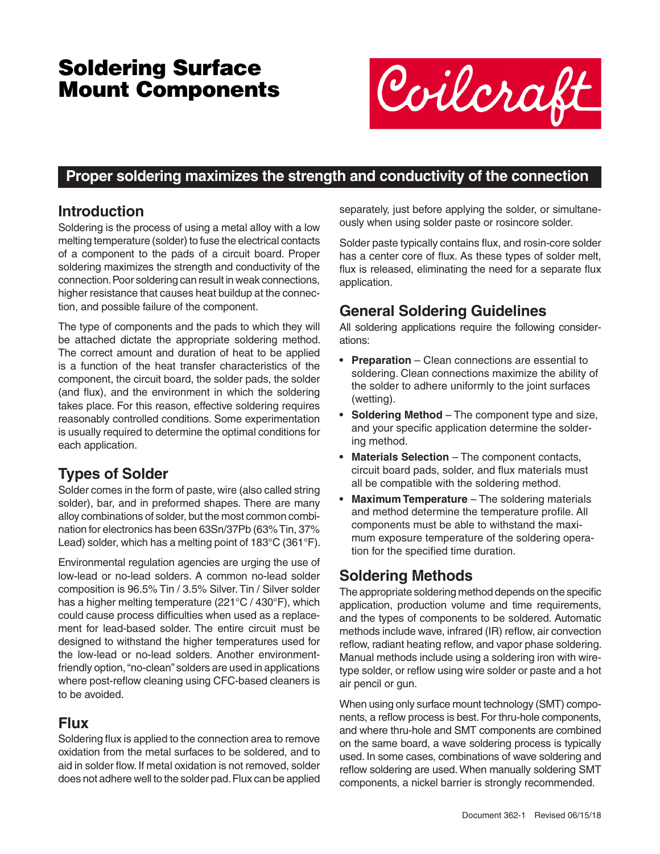# Soldering Surface Mount Components



### **Proper soldering maximizes the strength and conductivity of the connection**

### **Introduction**

Soldering is the process of using a metal alloy with a low melting temperature (solder) to fuse the electrical contacts of a component to the pads of a circuit board. Proper soldering maximizes the strength and conductivity of the connection. Poor soldering can result in weak connections, higher resistance that causes heat buildup at the connection, and possible failure of the component.

The type of components and the pads to which they will be attached dictate the appropriate soldering method. The correct amount and duration of heat to be applied is a function of the heat transfer characteristics of the component, the circuit board, the solder pads, the solder (and flux), and the environment in which the soldering takes place. For this reason, effective soldering requires reasonably controlled conditions. Some experimentation is usually required to determine the optimal conditions for each application.

# **Types of Solder**

Solder comes in the form of paste, wire (also called string solder), bar, and in preformed shapes. There are many alloy combinations of solder, but the most common combination for electronics has been 63Sn/37Pb (63% Tin, 37% Lead) solder, which has a melting point of 183°C (361°F).

Environmental regulation agencies are urging the use of low-lead or no-lead solders. A common no-lead solder composition is 96.5% Tin / 3.5% Silver. Tin / Silver solder has a higher melting temperature (221°C / 430°F), which could cause process difficulties when used as a replacement for lead-based solder. The entire circuit must be designed to withstand the higher temperatures used for the low-lead or no-lead solders. Another environmentfriendly option, "no-clean" solders are used in applications where post-reflow cleaning using CFC-based cleaners is to be avoided.

# **Flux**

Soldering flux is applied to the connection area to remove oxidation from the metal surfaces to be soldered, and to aid in solder flow. If metal oxidation is not removed, solder does not adhere well to the solder pad. Flux can be applied separately, just before applying the solder, or simultaneously when using solder paste or rosincore solder.

Solder paste typically contains flux, and rosin-core solder has a center core of flux. As these types of solder melt, flux is released, eliminating the need for a separate flux application.

# **General Soldering Guidelines**

All soldering applications require the following considerations:

- **• Preparation** Clean connections are essential to soldering. Clean connections maximize the ability of the solder to adhere uniformly to the joint surfaces (wetting).
- **• Soldering Method** The component type and size, and your specific application determine the soldering method.
- **• Materials Selection** The component contacts, circuit board pads, solder, and flux materials must all be compatible with the soldering method.
- **• Maximum Temperature** The soldering materials and method determine the temperature profile. All components must be able to withstand the maximum exposure temperature of the soldering operation for the specified time duration.

### **Soldering Methods**

The appropriate soldering method depends on the specific application, production volume and time requirements, and the types of components to be soldered. Automatic methods include wave, infrared (IR) reflow, air convection reflow, radiant heating reflow, and vapor phase soldering. Manual methods include using a soldering iron with wiretype solder, or reflow using wire solder or paste and a hot air pencil or gun.

When using only surface mount technology (SMT) components, a reflow process is best. For thru-hole components, and where thru-hole and SMT components are combined on the same board, a wave soldering process is typically used. In some cases, combinations of wave soldering and reflow soldering are used. When manually soldering SMT components, a nickel barrier is strongly recommended.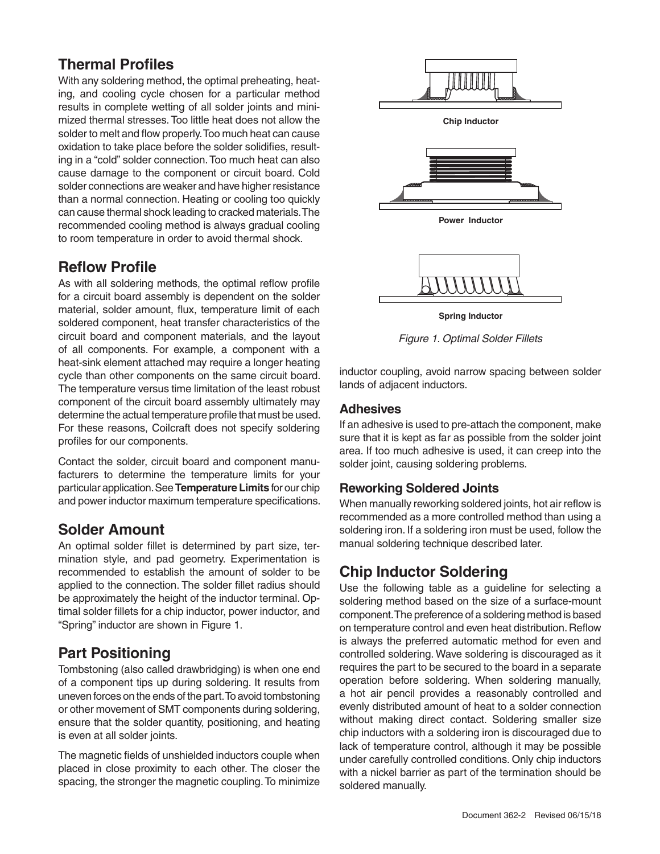### **Thermal Profiles**

With any soldering method, the optimal preheating, heating, and cooling cycle chosen for a particular method results in complete wetting of all solder joints and minimized thermal stresses. Too little heat does not allow the solder to melt and flow properly. Too much heat can cause oxidation to take place before the solder solidifies, resulting in a "cold" solder connection. Too much heat can also cause damage to the component or circuit board. Cold solder connections are weaker and have higher resistance than a normal connection. Heating or cooling too quickly can cause thermal shock leading to cracked materials. The recommended cooling method is always gradual cooling to room temperature in order to avoid thermal shock.

### **Reflow Profile**

As with all soldering methods, the optimal reflow profile for a circuit board assembly is dependent on the solder material, solder amount, flux, temperature limit of each soldered component, heat transfer characteristics of the circuit board and component materials, and the layout of all components. For example, a component with a heat-sink element attached may require a longer heating cycle than other components on the same circuit board. The temperature versus time limitation of the least robust component of the circuit board assembly ultimately may determine the actual temperature profile that must be used. For these reasons, Coilcraft does not specify soldering profiles for our components.

Contact the solder, circuit board and component manufacturers to determine the temperature limits for your particular application. See **Temperature Limits** for our chip and power inductor maximum temperature specifications.

### **Solder Amount**

An optimal solder fillet is determined by part size, termination style, and pad geometry. Experimentation is recommended to establish the amount of solder to be applied to the connection. The solder fillet radius should be approximately the height of the inductor terminal. Optimal solder fillets for a chip inductor, power inductor, and "Spring" inductor are shown in Figure 1.

### **Part Positioning**

Tombstoning (also called drawbridging) is when one end of a component tips up during soldering. It results from uneven forces on the ends of the part. To avoid tombstoning or other movement of SMT components during soldering, ensure that the solder quantity, positioning, and heating is even at all solder joints.

The magnetic fields of unshielded inductors couple when placed in close proximity to each other. The closer the spacing, the stronger the magnetic coupling. To minimize



inductor coupling, avoid narrow spacing between solder lands of adjacent inductors.

#### **Adhesives**

If an adhesive is used to pre-attach the component, make sure that it is kept as far as possible from the solder joint area. If too much adhesive is used, it can creep into the solder joint, causing soldering problems.

#### **Reworking Soldered Joints**

When manually reworking soldered joints, hot air reflow is recommended as a more controlled method than using a soldering iron. If a soldering iron must be used, follow the manual soldering technique described later.

### **Chip Inductor Soldering**

Use the following table as a guideline for selecting a soldering method based on the size of a surface-mount component. The preference of a soldering method is based on temperature control and even heat distribution. Reflow is always the preferred automatic method for even and controlled soldering. Wave soldering is discouraged as it requires the part to be secured to the board in a separate operation before soldering. When soldering manually, a hot air pencil provides a reasonably controlled and evenly distributed amount of heat to a solder connection without making direct contact. Soldering smaller size chip inductors with a soldering iron is discouraged due to lack of temperature control, although it may be possible under carefully controlled conditions. Only chip inductors with a nickel barrier as part of the termination should be soldered manually.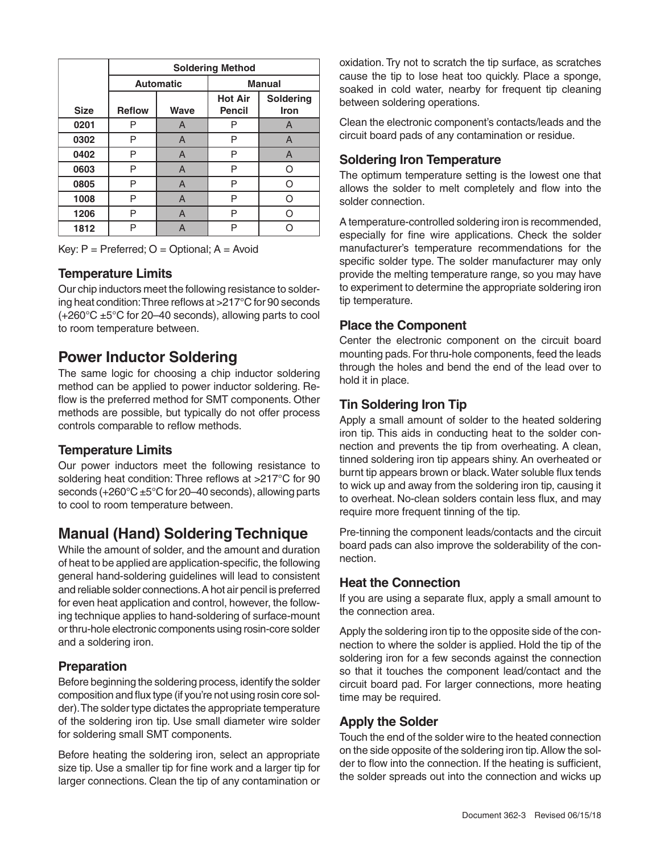|             | <b>Soldering Method</b> |      |                |                  |
|-------------|-------------------------|------|----------------|------------------|
|             | <b>Automatic</b>        |      | <b>Manual</b>  |                  |
|             |                         |      | <b>Hot Air</b> | <b>Soldering</b> |
| <b>Size</b> | <b>Reflow</b>           | Wave | <b>Pencil</b>  | Iron             |
| 0201        | P                       | A    | P              | A                |
| 0302        | Р                       | A    | Р              | A                |
| 0402        | P                       | A    | P              | A                |
| 0603        | Ρ                       | A    | P              | O                |
| 0805        | P                       | A    | P              | റ                |
| 1008        | P                       | A    | P              | റ                |
| 1206        | P                       | A    | P              | ∩                |
| 1812        | P                       | А    | P              |                  |

Key:  $P = Preferred$ ;  $O = Optional$ ;  $A = Avoid$ 

#### **Temperature Limits**

Our chip inductors meet the following resistance to soldering heat condition: Three reflows at >217°C for 90 seconds  $(+260^{\circ}$ C  $\pm 5^{\circ}$ C for 20–40 seconds), allowing parts to cool to room temperature between.

### **Power Inductor Soldering**

The same logic for choosing a chip inductor soldering method can be applied to power inductor soldering. Reflow is the preferred method for SMT components. Other methods are possible, but typically do not offer process controls comparable to reflow methods.

#### **Temperature Limits**

Our power inductors meet the following resistance to soldering heat condition: Three reflows at >217°C for 90 seconds (+260°C ±5°C for 20–40 seconds), allowing parts to cool to room temperature between.

### **Manual (Hand) Soldering Technique**

While the amount of solder, and the amount and duration of heat to be applied are application-specific, the following general hand-soldering guidelines will lead to consistent and reliable solder connections. A hot air pencil is preferred for even heat application and control, however, the following technique applies to hand-soldering of surface-mount or thru-hole electronic components using rosin-core solder and a soldering iron.

#### **Preparation**

Before beginning the soldering process, identify the solder composition and flux type (if you're not using rosin core solder). The solder type dictates the appropriate temperature of the soldering iron tip. Use small diameter wire solder for soldering small SMT components.

Before heating the soldering iron, select an appropriate size tip. Use a smaller tip for fine work and a larger tip for larger connections. Clean the tip of any contamination or oxidation. Try not to scratch the tip surface, as scratches cause the tip to lose heat too quickly. Place a sponge, soaked in cold water, nearby for frequent tip cleaning between soldering operations.

Clean the electronic component's contacts/leads and the circuit board pads of any contamination or residue.

#### **Soldering Iron Temperature**

The optimum temperature setting is the lowest one that allows the solder to melt completely and flow into the solder connection.

A temperature-controlled soldering iron is recommended, especially for fine wire applications. Check the solder manufacturer's temperature recommendations for the specific solder type. The solder manufacturer may only provide the melting temperature range, so you may have to experiment to determine the appropriate soldering iron tip temperature.

#### **Place the Component**

Center the electronic component on the circuit board mounting pads. For thru-hole components, feed the leads through the holes and bend the end of the lead over to hold it in place.

### **Tin Soldering Iron Tip**

Apply a small amount of solder to the heated soldering iron tip. This aids in conducting heat to the solder connection and prevents the tip from overheating. A clean, tinned soldering iron tip appears shiny. An overheated or burnt tip appears brown or black. Water soluble flux tends to wick up and away from the soldering iron tip, causing it to overheat. No-clean solders contain less flux, and may require more frequent tinning of the tip.

Pre-tinning the component leads/contacts and the circuit board pads can also improve the solderability of the connection.

#### **Heat the Connection**

If you are using a separate flux, apply a small amount to the connection area.

Apply the soldering iron tip to the opposite side of the connection to where the solder is applied. Hold the tip of the soldering iron for a few seconds against the connection so that it touches the component lead/contact and the circuit board pad. For larger connections, more heating time may be required.

#### **Apply the Solder**

Touch the end of the solder wire to the heated connection on the side opposite of the soldering iron tip. Allow the solder to flow into the connection. If the heating is sufficient, the solder spreads out into the connection and wicks up